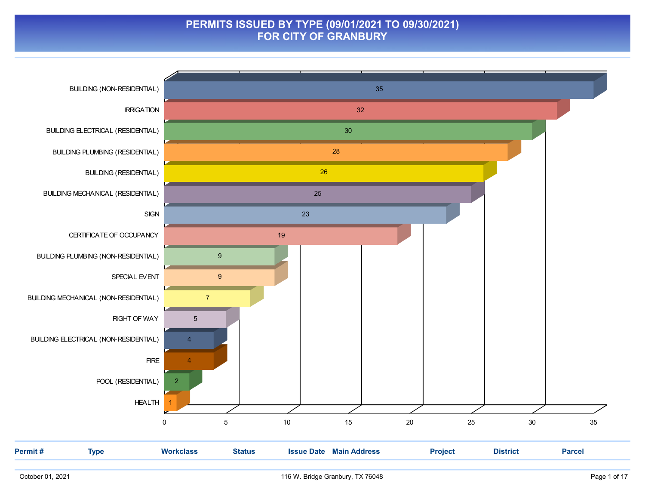#### PERMITS ISSUED BY TYPE (09/01/2021 TO 09/30/2021) FOR CITY OF GRANBURY

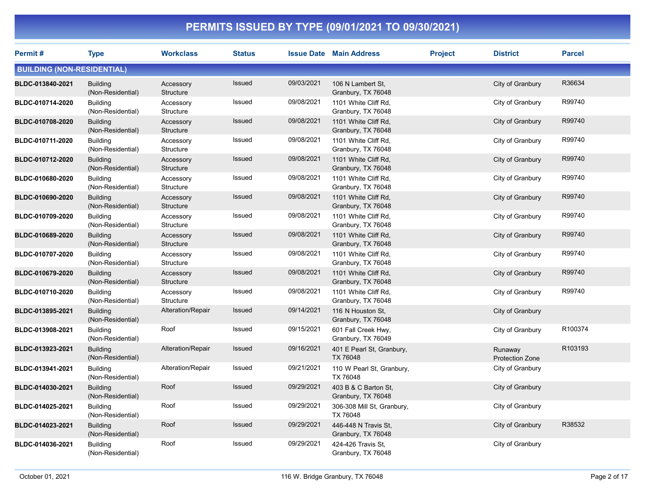| Permit#                           | <b>Type</b>                          | <b>Workclass</b>       | <b>Status</b> |            | <b>Issue Date Main Address</b>             | <b>Project</b> | <b>District</b>                   | <b>Parcel</b> |
|-----------------------------------|--------------------------------------|------------------------|---------------|------------|--------------------------------------------|----------------|-----------------------------------|---------------|
| <b>BUILDING (NON-RESIDENTIAL)</b> |                                      |                        |               |            |                                            |                |                                   |               |
| BLDC-013840-2021                  | <b>Building</b><br>(Non-Residential) | Accessory<br>Structure | <b>Issued</b> | 09/03/2021 | 106 N Lambert St,<br>Granbury, TX 76048    |                | City of Granbury                  | R36634        |
| BLDC-010714-2020                  | <b>Building</b><br>(Non-Residential) | Accessory<br>Structure | Issued        | 09/08/2021 | 1101 White Cliff Rd,<br>Granbury, TX 76048 |                | City of Granbury                  | R99740        |
| BLDC-010708-2020                  | <b>Building</b><br>(Non-Residential) | Accessory<br>Structure | Issued        | 09/08/2021 | 1101 White Cliff Rd,<br>Granbury, TX 76048 |                | City of Granbury                  | R99740        |
| BLDC-010711-2020                  | <b>Building</b><br>(Non-Residential) | Accessory<br>Structure | Issued        | 09/08/2021 | 1101 White Cliff Rd,<br>Granbury, TX 76048 |                | City of Granbury                  | R99740        |
| BLDC-010712-2020                  | <b>Building</b><br>(Non-Residential) | Accessory<br>Structure | Issued        | 09/08/2021 | 1101 White Cliff Rd,<br>Granbury, TX 76048 |                | City of Granbury                  | R99740        |
| BLDC-010680-2020                  | <b>Building</b><br>(Non-Residential) | Accessory<br>Structure | Issued        | 09/08/2021 | 1101 White Cliff Rd,<br>Granbury, TX 76048 |                | City of Granbury                  | R99740        |
| BLDC-010690-2020                  | <b>Building</b><br>(Non-Residential) | Accessory<br>Structure | Issued        | 09/08/2021 | 1101 White Cliff Rd,<br>Granbury, TX 76048 |                | City of Granbury                  | R99740        |
| BLDC-010709-2020                  | <b>Building</b><br>(Non-Residential) | Accessory<br>Structure | Issued        | 09/08/2021 | 1101 White Cliff Rd,<br>Granbury, TX 76048 |                | City of Granbury                  | R99740        |
| BLDC-010689-2020                  | <b>Building</b><br>(Non-Residential) | Accessory<br>Structure | Issued        | 09/08/2021 | 1101 White Cliff Rd,<br>Granbury, TX 76048 |                | City of Granbury                  | R99740        |
| BLDC-010707-2020                  | <b>Building</b><br>(Non-Residential) | Accessory<br>Structure | Issued        | 09/08/2021 | 1101 White Cliff Rd,<br>Granbury, TX 76048 |                | City of Granbury                  | R99740        |
| BLDC-010679-2020                  | <b>Building</b><br>(Non-Residential) | Accessory<br>Structure | Issued        | 09/08/2021 | 1101 White Cliff Rd,<br>Granbury, TX 76048 |                | City of Granbury                  | R99740        |
| BLDC-010710-2020                  | <b>Building</b><br>(Non-Residential) | Accessory<br>Structure | Issued        | 09/08/2021 | 1101 White Cliff Rd,<br>Granbury, TX 76048 |                | City of Granbury                  | R99740        |
| BLDC-013895-2021                  | <b>Building</b><br>(Non-Residential) | Alteration/Repair      | Issued        | 09/14/2021 | 116 N Houston St.<br>Granbury, TX 76048    |                | City of Granbury                  |               |
| BLDC-013908-2021                  | <b>Building</b><br>(Non-Residential) | Roof                   | Issued        | 09/15/2021 | 601 Fall Creek Hwy,<br>Granbury, TX 76049  |                | City of Granbury                  | R100374       |
| BLDC-013923-2021                  | <b>Building</b><br>(Non-Residential) | Alteration/Repair      | <b>Issued</b> | 09/16/2021 | 401 E Pearl St, Granbury,<br>TX 76048      |                | Runaway<br><b>Protection Zone</b> | R103193       |
| BLDC-013941-2021                  | <b>Building</b><br>(Non-Residential) | Alteration/Repair      | Issued        | 09/21/2021 | 110 W Pearl St, Granbury,<br>TX 76048      |                | City of Granbury                  |               |
| BLDC-014030-2021                  | <b>Building</b><br>(Non-Residential) | Roof                   | Issued        | 09/29/2021 | 403 B & C Barton St,<br>Granbury, TX 76048 |                | City of Granbury                  |               |
| BLDC-014025-2021                  | <b>Building</b><br>(Non-Residential) | Roof                   | Issued        | 09/29/2021 | 306-308 Mill St, Granbury,<br>TX 76048     |                | City of Granbury                  |               |
| BLDC-014023-2021                  | <b>Building</b><br>(Non-Residential) | Roof                   | Issued        | 09/29/2021 | 446-448 N Travis St,<br>Granbury, TX 76048 |                | City of Granbury                  | R38532        |
| BLDC-014036-2021                  | <b>Building</b><br>(Non-Residential) | Roof                   | Issued        | 09/29/2021 | 424-426 Travis St,<br>Granbury, TX 76048   |                | City of Granbury                  |               |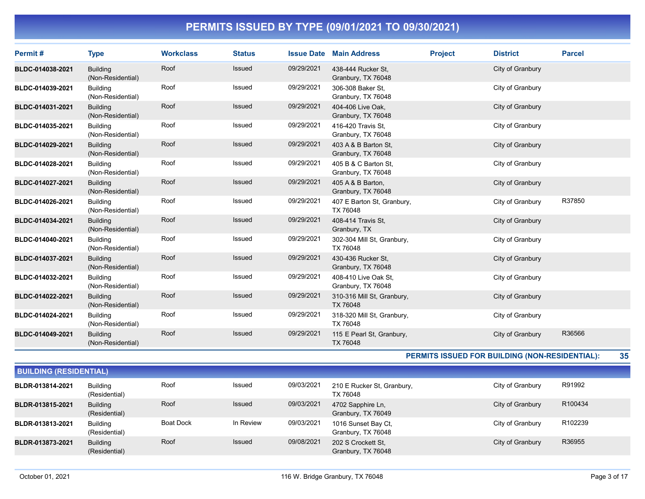| Permit#          | <b>Type</b>                          | <b>Workclass</b> | <b>Status</b> |            | <b>Issue Date Main Address</b>             | <b>Project</b> | <b>District</b>  | <b>Parcel</b> |
|------------------|--------------------------------------|------------------|---------------|------------|--------------------------------------------|----------------|------------------|---------------|
| BLDC-014038-2021 | <b>Building</b><br>(Non-Residential) | Roof             | <b>Issued</b> | 09/29/2021 | 438-444 Rucker St,<br>Granbury, TX 76048   |                | City of Granbury |               |
| BLDC-014039-2021 | <b>Building</b><br>(Non-Residential) | Roof             | Issued        | 09/29/2021 | 306-308 Baker St.<br>Granbury, TX 76048    |                | City of Granbury |               |
| BLDC-014031-2021 | <b>Building</b><br>(Non-Residential) | Roof             | Issued        | 09/29/2021 | 404-406 Live Oak.<br>Granbury, TX 76048    |                | City of Granbury |               |
| BLDC-014035-2021 | <b>Building</b><br>(Non-Residential) | Roof             | <b>Issued</b> | 09/29/2021 | 416-420 Travis St.<br>Granbury, TX 76048   |                | City of Granbury |               |
| BLDC-014029-2021 | <b>Building</b><br>(Non-Residential) | Roof             | Issued        | 09/29/2021 | 403 A & B Barton St,<br>Granbury, TX 76048 |                | City of Granbury |               |
| BLDC-014028-2021 | <b>Building</b><br>(Non-Residential) | Roof             | <b>Issued</b> | 09/29/2021 | 405 B & C Barton St.<br>Granbury, TX 76048 |                | City of Granbury |               |
| BLDC-014027-2021 | <b>Building</b><br>(Non-Residential) | Roof             | <b>Issued</b> | 09/29/2021 | 405 A & B Barton,<br>Granbury, TX 76048    |                | City of Granbury |               |
| BLDC-014026-2021 | <b>Building</b><br>(Non-Residential) | Roof             | <b>Issued</b> | 09/29/2021 | 407 E Barton St, Granbury,<br>TX 76048     |                | City of Granbury | R37850        |
| BLDC-014034-2021 | <b>Building</b><br>(Non-Residential) | Roof             | Issued        | 09/29/2021 | 408-414 Travis St.<br>Granbury, TX         |                | City of Granbury |               |
| BLDC-014040-2021 | <b>Building</b><br>(Non-Residential) | Roof             | <b>Issued</b> | 09/29/2021 | 302-304 Mill St, Granbury,<br>TX 76048     |                | City of Granbury |               |
| BLDC-014037-2021 | <b>Building</b><br>(Non-Residential) | Roof             | <b>Issued</b> | 09/29/2021 | 430-436 Rucker St,<br>Granbury, TX 76048   |                | City of Granbury |               |
| BLDC-014032-2021 | <b>Building</b><br>(Non-Residential) | Roof             | Issued        | 09/29/2021 | 408-410 Live Oak St.<br>Granbury, TX 76048 |                | City of Granbury |               |
| BLDC-014022-2021 | <b>Building</b><br>(Non-Residential) | Roof             | <b>Issued</b> | 09/29/2021 | 310-316 Mill St, Granbury,<br>TX 76048     |                | City of Granbury |               |
| BLDC-014024-2021 | <b>Building</b><br>(Non-Residential) | Roof             | <b>Issued</b> | 09/29/2021 | 318-320 Mill St, Granbury,<br>TX 76048     |                | City of Granbury |               |
| BLDC-014049-2021 | <b>Building</b><br>(Non-Residential) | Roof             | <b>Issued</b> | 09/29/2021 | 115 E Pearl St, Granbury,<br>TX 76048      |                | City of Granbury | R36566        |

PERMITS ISSUED FOR BUILDING (NON-RESIDENTIAL): 35

|                  | DUILDING (RESIDEN HAL)           |           |               |            |                                           |                  |         |  |  |  |  |
|------------------|----------------------------------|-----------|---------------|------------|-------------------------------------------|------------------|---------|--|--|--|--|
| BLDR-013814-2021 | <b>Building</b><br>(Residential) | Roof      | Issued        | 09/03/2021 | 210 E Rucker St, Granbury,<br>TX 76048    | City of Granbury | R91992  |  |  |  |  |
| BLDR-013815-2021 | <b>Building</b><br>(Residential) | Roof      | <b>Issued</b> | 09/03/2021 | 4702 Sapphire Ln.<br>Granbury, TX 76049   | City of Granbury | R100434 |  |  |  |  |
| BLDR-013813-2021 | <b>Building</b><br>(Residential) | Boat Dock | In Review     | 09/03/2021 | 1016 Sunset Bay Ct,<br>Granbury, TX 76048 | City of Granbury | R102239 |  |  |  |  |
| BLDR-013873-2021 | <b>Building</b><br>(Residential) | Roof      | <b>Issued</b> | 09/08/2021 | 202 S Crockett St.<br>Granbury, TX 76048  | City of Granbury | R36955  |  |  |  |  |

BUILDING (BESIDENTIAL)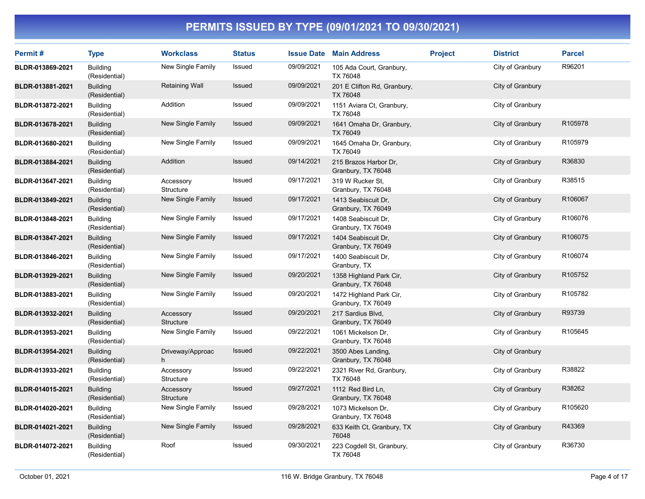| Permit#          | <b>Type</b>                      | <b>Workclass</b>       | <b>Status</b> |            | <b>Issue Date Main Address</b>                | <b>Project</b> | <b>District</b>  | <b>Parcel</b> |
|------------------|----------------------------------|------------------------|---------------|------------|-----------------------------------------------|----------------|------------------|---------------|
| BLDR-013869-2021 | Building<br>(Residential)        | New Single Family      | Issued        | 09/09/2021 | 105 Ada Court, Granbury,<br>TX 76048          |                | City of Granbury | R96201        |
| BLDR-013881-2021 | <b>Building</b><br>(Residential) | <b>Retaining Wall</b>  | Issued        | 09/09/2021 | 201 E Clifton Rd, Granbury,<br>TX 76048       |                | City of Granbury |               |
| BLDR-013872-2021 | <b>Building</b><br>(Residential) | Addition               | Issued        | 09/09/2021 | 1151 Aviara Ct, Granbury,<br>TX 76048         |                | City of Granbury |               |
| BLDR-013678-2021 | <b>Building</b><br>(Residential) | New Single Family      | Issued        | 09/09/2021 | 1641 Omaha Dr, Granbury,<br>TX 76049          |                | City of Granbury | R105978       |
| BLDR-013680-2021 | <b>Building</b><br>(Residential) | New Single Family      | Issued        | 09/09/2021 | 1645 Omaha Dr, Granbury,<br>TX 76049          |                | City of Granbury | R105979       |
| BLDR-013884-2021 | <b>Building</b><br>(Residential) | Addition               | <b>Issued</b> | 09/14/2021 | 215 Brazos Harbor Dr,<br>Granbury, TX 76048   |                | City of Granbury | R36830        |
| BLDR-013647-2021 | <b>Building</b><br>(Residential) | Accessory<br>Structure | Issued        | 09/17/2021 | 319 W Rucker St.<br>Granbury, TX 76048        |                | City of Granbury | R38515        |
| BLDR-013849-2021 | <b>Building</b><br>(Residential) | New Single Family      | <b>Issued</b> | 09/17/2021 | 1413 Seabiscuit Dr.<br>Granbury, TX 76049     |                | City of Granbury | R106067       |
| BLDR-013848-2021 | <b>Building</b><br>(Residential) | New Single Family      | Issued        | 09/17/2021 | 1408 Seabiscuit Dr.<br>Granbury, TX 76049     |                | City of Granbury | R106076       |
| BLDR-013847-2021 | <b>Building</b><br>(Residential) | New Single Family      | Issued        | 09/17/2021 | 1404 Seabiscuit Dr,<br>Granbury, TX 76049     |                | City of Granbury | R106075       |
| BLDR-013846-2021 | <b>Building</b><br>(Residential) | New Single Family      | Issued        | 09/17/2021 | 1400 Seabiscuit Dr.<br>Granbury, TX           |                | City of Granbury | R106074       |
| BLDR-013929-2021 | <b>Building</b><br>(Residential) | New Single Family      | Issued        | 09/20/2021 | 1358 Highland Park Cir,<br>Granbury, TX 76048 |                | City of Granbury | R105752       |
| BLDR-013883-2021 | <b>Building</b><br>(Residential) | New Single Family      | Issued        | 09/20/2021 | 1472 Highland Park Cir,<br>Granbury, TX 76049 |                | City of Granbury | R105782       |
| BLDR-013932-2021 | <b>Building</b><br>(Residential) | Accessory<br>Structure | Issued        | 09/20/2021 | 217 Sardius Blvd,<br>Granbury, TX 76049       |                | City of Granbury | R93739        |
| BLDR-013953-2021 | <b>Building</b><br>(Residential) | New Single Family      | Issued        | 09/22/2021 | 1061 Mickelson Dr.<br>Granbury, TX 76048      |                | City of Granbury | R105645       |
| BLDR-013954-2021 | <b>Building</b><br>(Residential) | Driveway/Approac<br>h  | Issued        | 09/22/2021 | 3500 Abes Landing,<br>Granbury, TX 76048      |                | City of Granbury |               |
| BLDR-013933-2021 | <b>Building</b><br>(Residential) | Accessory<br>Structure | Issued        | 09/22/2021 | 2321 River Rd, Granbury,<br>TX 76048          |                | City of Granbury | R38822        |
| BLDR-014015-2021 | <b>Building</b><br>(Residential) | Accessory<br>Structure | <b>Issued</b> | 09/27/2021 | 1112 Red Bird Ln,<br>Granbury, TX 76048       |                | City of Granbury | R38262        |
| BLDR-014020-2021 | <b>Building</b><br>(Residential) | New Single Family      | Issued        | 09/28/2021 | 1073 Mickelson Dr,<br>Granbury, TX 76048      |                | City of Granbury | R105620       |
| BLDR-014021-2021 | <b>Building</b><br>(Residential) | New Single Family      | Issued        | 09/28/2021 | 633 Keith Ct, Granbury, TX<br>76048           |                | City of Granbury | R43369        |
| BLDR-014072-2021 | <b>Building</b><br>(Residential) | Roof                   | Issued        | 09/30/2021 | 223 Cogdell St, Granbury,<br>TX 76048         |                | City of Granbury | R36730        |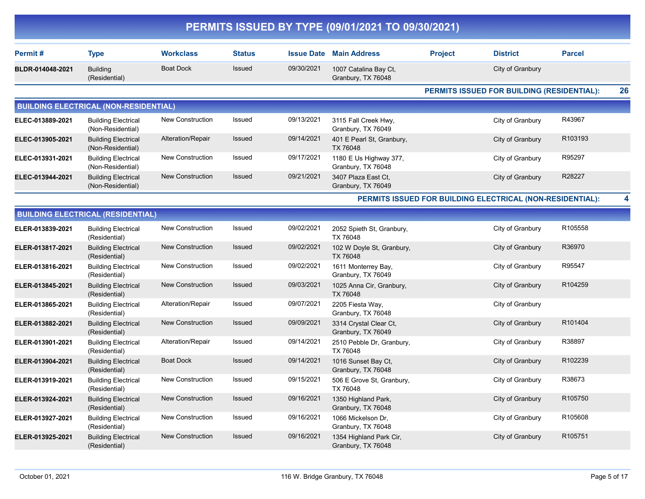|                  |                                                 |                         |               |                   | PERMITS ISSUED BY TYPE (09/01/2021 TO 09/30/2021) |                |                                                           |               |    |
|------------------|-------------------------------------------------|-------------------------|---------------|-------------------|---------------------------------------------------|----------------|-----------------------------------------------------------|---------------|----|
| Permit#          | <b>Type</b>                                     | <b>Workclass</b>        | <b>Status</b> | <b>Issue Date</b> | <b>Main Address</b>                               | <b>Project</b> | <b>District</b>                                           | <b>Parcel</b> |    |
| BLDR-014048-2021 | <b>Building</b><br>(Residential)                | <b>Boat Dock</b>        | Issued        | 09/30/2021        | 1007 Catalina Bay Ct,<br>Granbury, TX 76048       |                | City of Granbury                                          |               |    |
|                  |                                                 |                         |               |                   |                                                   |                | PERMITS ISSUED FOR BUILDING (RESIDENTIAL):                |               | 26 |
|                  | <b>BUILDING ELECTRICAL (NON-RESIDENTIAL)</b>    |                         |               |                   |                                                   |                |                                                           |               |    |
| ELEC-013889-2021 | <b>Building Electrical</b><br>(Non-Residential) | New Construction        | Issued        | 09/13/2021        | 3115 Fall Creek Hwy,<br>Granbury, TX 76049        |                | City of Granbury                                          | R43967        |    |
| ELEC-013905-2021 | <b>Building Electrical</b><br>(Non-Residential) | Alteration/Repair       | Issued        | 09/14/2021        | 401 E Pearl St, Granbury,<br>TX 76048             |                | City of Granbury                                          | R103193       |    |
| ELEC-013931-2021 | <b>Building Electrical</b><br>(Non-Residential) | <b>New Construction</b> | Issued        | 09/17/2021        | 1180 E Us Highway 377,<br>Granbury, TX 76048      |                | City of Granbury                                          | R95297        |    |
| ELEC-013944-2021 | <b>Building Electrical</b><br>(Non-Residential) | <b>New Construction</b> | Issued        | 09/21/2021        | 3407 Plaza East Ct,<br>Granbury, TX 76049         |                | City of Granbury                                          | R28227        |    |
|                  |                                                 |                         |               |                   |                                                   |                | PERMITS ISSUED FOR BUILDING ELECTRICAL (NON-RESIDENTIAL): |               | 4  |
|                  | <b>BUILDING ELECTRICAL (RESIDENTIAL)</b>        |                         |               |                   |                                                   |                |                                                           |               |    |
| ELER-013839-2021 | <b>Building Electrical</b><br>(Residential)     | <b>New Construction</b> | Issued        | 09/02/2021        | 2052 Spieth St, Granbury,<br>TX 76048             |                | City of Granbury                                          | R105558       |    |
| ELER-013817-2021 | <b>Building Electrical</b><br>(Residential)     | <b>New Construction</b> | Issued        | 09/02/2021        | 102 W Doyle St, Granbury,<br><b>TX 76048</b>      |                | City of Granbury                                          | R36970        |    |
| ELER-013816-2021 | <b>Building Electrical</b><br>(Residential)     | <b>New Construction</b> | Issued        | 09/02/2021        | 1611 Monterrey Bay,<br>Granbury, TX 76049         |                | City of Granbury                                          | R95547        |    |
| ELER-013845-2021 | <b>Building Electrical</b><br>(Residential)     | <b>New Construction</b> | Issued        | 09/03/2021        | 1025 Anna Cir, Granbury,<br>TX 76048              |                | City of Granbury                                          | R104259       |    |
| ELER-013865-2021 | <b>Building Electrical</b><br>(Residential)     | Alteration/Repair       | Issued        | 09/07/2021        | 2205 Fiesta Way,<br>Granbury, TX 76048            |                | City of Granbury                                          |               |    |
| ELER-013882-2021 | <b>Building Electrical</b><br>(Residential)     | <b>New Construction</b> | Issued        | 09/09/2021        | 3314 Crystal Clear Ct,<br>Granbury, TX 76049      |                | City of Granbury                                          | R101404       |    |
| ELER-013901-2021 | <b>Building Electrical</b><br>(Residential)     | Alteration/Repair       | Issued        | 09/14/2021        | 2510 Pebble Dr, Granbury,<br>TX 76048             |                | City of Granbury                                          | R38897        |    |
| ELER-013904-2021 | <b>Building Electrical</b><br>(Residential)     | <b>Boat Dock</b>        | Issued        | 09/14/2021        | 1016 Sunset Bay Ct,<br>Granbury, TX 76048         |                | City of Granbury                                          | R102239       |    |
| ELER-013919-2021 | <b>Building Electrical</b><br>(Residential)     | <b>New Construction</b> | Issued        | 09/15/2021        | 506 E Grove St, Granbury,<br>TX 76048             |                | City of Granbury                                          | R38673        |    |
| ELER-013924-2021 | <b>Building Electrical</b><br>(Residential)     | <b>New Construction</b> | Issued        | 09/16/2021        | 1350 Highland Park,<br>Granbury, TX 76048         |                | City of Granbury                                          | R105750       |    |
| ELER-013927-2021 | <b>Building Electrical</b><br>(Residential)     | New Construction        | Issued        | 09/16/2021        | 1066 Mickelson Dr,<br>Granbury, TX 76048          |                | City of Granbury                                          | R105608       |    |
| ELER-013925-2021 | <b>Building Electrical</b><br>(Residential)     | <b>New Construction</b> | Issued        | 09/16/2021        | 1354 Highland Park Cir,<br>Granbury, TX 76048     |                | City of Granbury                                          | R105751       |    |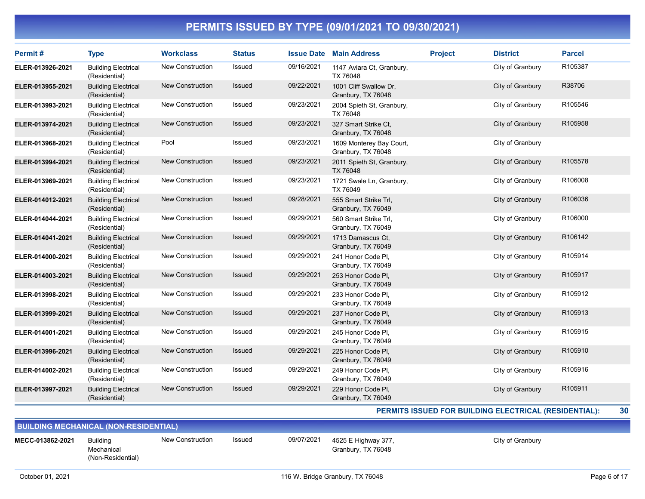| Permit#          | <b>Type</b>                                 | <b>Workclass</b>        | <b>Status</b> | <b>Issue Date</b> | <b>Main Address</b>                            | <b>Project</b> | <b>District</b>  | <b>Parcel</b> |
|------------------|---------------------------------------------|-------------------------|---------------|-------------------|------------------------------------------------|----------------|------------------|---------------|
| ELER-013926-2021 | <b>Building Electrical</b><br>(Residential) | New Construction        | Issued        | 09/16/2021        | 1147 Aviara Ct, Granbury,<br>TX 76048          |                | City of Granbury | R105387       |
| ELER-013955-2021 | <b>Building Electrical</b><br>(Residential) | New Construction        | Issued        | 09/22/2021        | 1001 Cliff Swallow Dr,<br>Granbury, TX 76048   |                | City of Granbury | R38706        |
| ELER-013993-2021 | <b>Building Electrical</b><br>(Residential) | New Construction        | Issued        | 09/23/2021        | 2004 Spieth St, Granbury,<br>TX 76048          |                | City of Granbury | R105546       |
| ELER-013974-2021 | <b>Building Electrical</b><br>(Residential) | <b>New Construction</b> | Issued        | 09/23/2021        | 327 Smart Strike Ct,<br>Granbury, TX 76048     |                | City of Granbury | R105958       |
| ELER-013968-2021 | <b>Building Electrical</b><br>(Residential) | Pool                    | Issued        | 09/23/2021        | 1609 Monterey Bay Court,<br>Granbury, TX 76048 |                | City of Granbury |               |
| ELER-013994-2021 | <b>Building Electrical</b><br>(Residential) | New Construction        | <b>Issued</b> | 09/23/2021        | 2011 Spieth St, Granbury,<br>TX 76048          |                | City of Granbury | R105578       |
| ELER-013969-2021 | <b>Building Electrical</b><br>(Residential) | New Construction        | Issued        | 09/23/2021        | 1721 Swale Ln, Granbury,<br>TX 76049           |                | City of Granbury | R106008       |
| ELER-014012-2021 | <b>Building Electrical</b><br>(Residential) | <b>New Construction</b> | <b>Issued</b> | 09/28/2021        | 555 Smart Strike Trl,<br>Granbury, TX 76049    |                | City of Granbury | R106036       |
| ELER-014044-2021 | <b>Building Electrical</b><br>(Residential) | New Construction        | <b>Issued</b> | 09/29/2021        | 560 Smart Strike Trl.<br>Granbury, TX 76049    |                | City of Granbury | R106000       |
| ELER-014041-2021 | <b>Building Electrical</b><br>(Residential) | New Construction        | Issued        | 09/29/2021        | 1713 Damascus Ct.<br>Granbury, TX 76049        |                | City of Granbury | R106142       |
| ELER-014000-2021 | <b>Building Electrical</b><br>(Residential) | New Construction        | <b>Issued</b> | 09/29/2021        | 241 Honor Code Pl.<br>Granbury, TX 76049       |                | City of Granbury | R105914       |
| ELER-014003-2021 | <b>Building Electrical</b><br>(Residential) | New Construction        | <b>Issued</b> | 09/29/2021        | 253 Honor Code Pl,<br>Granbury, TX 76049       |                | City of Granbury | R105917       |
| ELER-013998-2021 | <b>Building Electrical</b><br>(Residential) | New Construction        | Issued        | 09/29/2021        | 233 Honor Code Pl,<br>Granbury, TX 76049       |                | City of Granbury | R105912       |
| ELER-013999-2021 | <b>Building Electrical</b><br>(Residential) | New Construction        | <b>Issued</b> | 09/29/2021        | 237 Honor Code PI,<br>Granbury, TX 76049       |                | City of Granbury | R105913       |
| ELER-014001-2021 | <b>Building Electrical</b><br>(Residential) | New Construction        | Issued        | 09/29/2021        | 245 Honor Code PI,<br>Granbury, TX 76049       |                | City of Granbury | R105915       |
| ELER-013996-2021 | <b>Building Electrical</b><br>(Residential) | New Construction        | <b>Issued</b> | 09/29/2021        | 225 Honor Code PI,<br>Granbury, TX 76049       |                | City of Granbury | R105910       |
| ELER-014002-2021 | <b>Building Electrical</b><br>(Residential) | New Construction        | Issued        | 09/29/2021        | 249 Honor Code PI,<br>Granbury, TX 76049       |                | City of Granbury | R105916       |
| ELER-013997-2021 | <b>Building Electrical</b><br>(Residential) | New Construction        | <b>Issued</b> | 09/29/2021        | 229 Honor Code PI,<br>Granbury, TX 76049       |                | City of Granbury | R105911       |

#### PERMITS ISSUED FOR BUILDING ELECTRICAL (RESIDENTIAL): 30

BUILDING MECHANICAL (NON-RESIDENTIAL) Building Mechanical (Non-Residential) New Construction 4525 E Highway 377, MECC-013862-2021 Issued 09/07/2021 City of Granbury Granbury, TX 76048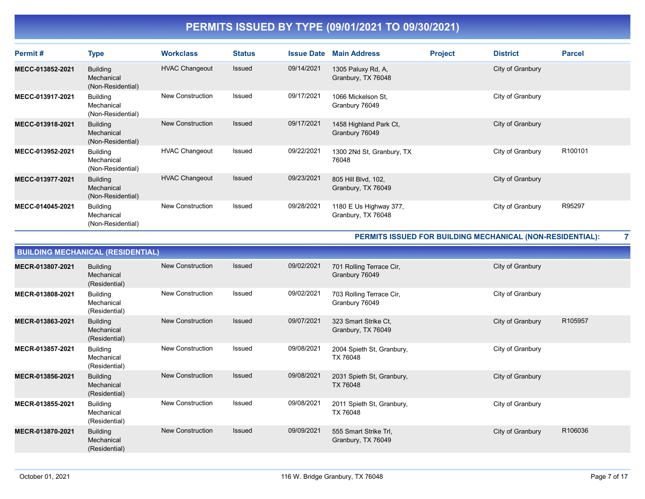| Permit#          | <b>Type</b>                                        | <b>Workclass</b>        | <b>Status</b> | <b>Issue Date</b> | <b>Main Address</b>                          | <b>Project</b> | <b>District</b>  | <b>Parcel</b>       |
|------------------|----------------------------------------------------|-------------------------|---------------|-------------------|----------------------------------------------|----------------|------------------|---------------------|
| MECC-013852-2021 | <b>Building</b><br>Mechanical<br>(Non-Residential) | <b>HVAC Changeout</b>   | Issued        | 09/14/2021        | 1305 Paluxy Rd, A,<br>Granbury, TX 76048     |                | City of Granbury |                     |
| MECC-013917-2021 | <b>Building</b><br>Mechanical<br>(Non-Residential) | <b>New Construction</b> | Issued        | 09/17/2021        | 1066 Mickelson St.<br>Granbury 76049         |                | City of Granbury |                     |
| MECC-013918-2021 | <b>Building</b><br>Mechanical<br>(Non-Residential) | <b>New Construction</b> | <b>Issued</b> | 09/17/2021        | 1458 Highland Park Ct,<br>Granbury 76049     |                | City of Granbury |                     |
| MECC-013952-2021 | <b>Building</b><br>Mechanical<br>(Non-Residential) | <b>HVAC Changeout</b>   | Issued        | 09/22/2021        | 1300 2Nd St, Granbury, TX<br>76048           |                | City of Granbury | R <sub>100101</sub> |
| MECC-013977-2021 | <b>Building</b><br>Mechanical<br>(Non-Residential) | <b>HVAC Changeout</b>   | Issued        | 09/23/2021        | 805 Hill Blvd, 102,<br>Granbury, TX 76049    |                | City of Granbury |                     |
| MECC-014045-2021 | <b>Building</b><br>Mechanical<br>(Non-Residential) | <b>New Construction</b> | Issued        | 09/28/2021        | 1180 E Us Highway 377,<br>Granbury, TX 76048 |                | City of Granbury | R95297              |

#### PERMITS ISSUED FOR BUILDING MECHANICAL (NON-RESIDENTIAL): 7

|                  | <b>BUILDING MECHANICAL (RESIDENTIAL)</b>       |                         |               |            |                                             |                  |         |
|------------------|------------------------------------------------|-------------------------|---------------|------------|---------------------------------------------|------------------|---------|
| MECR-013807-2021 | <b>Building</b><br>Mechanical<br>(Residential) | <b>New Construction</b> | Issued        | 09/02/2021 | 701 Rolling Terrace Cir,<br>Granbury 76049  | City of Granbury |         |
| MECR-013808-2021 | <b>Building</b><br>Mechanical<br>(Residential) | <b>New Construction</b> | Issued        | 09/02/2021 | 703 Rolling Terrace Cir,<br>Granbury 76049  | City of Granbury |         |
| MECR-013863-2021 | <b>Building</b><br>Mechanical<br>(Residential) | New Construction        | Issued        | 09/07/2021 | 323 Smart Strike Ct,<br>Granbury, TX 76049  | City of Granbury | R105957 |
| MECR-013857-2021 | <b>Building</b><br>Mechanical<br>(Residential) | <b>New Construction</b> | Issued        | 09/08/2021 | 2004 Spieth St, Granbury,<br>TX 76048       | City of Granbury |         |
| MECR-013856-2021 | <b>Building</b><br>Mechanical<br>(Residential) | <b>New Construction</b> | <b>Issued</b> | 09/08/2021 | 2031 Spieth St, Granbury,<br>TX 76048       | City of Granbury |         |
| MECR-013855-2021 | <b>Building</b><br>Mechanical<br>(Residential) | <b>New Construction</b> | Issued        | 09/08/2021 | 2011 Spieth St, Granbury,<br>TX 76048       | City of Granbury |         |
| MECR-013870-2021 | <b>Building</b><br>Mechanical<br>(Residential) | <b>New Construction</b> | <b>Issued</b> | 09/09/2021 | 555 Smart Strike Trl.<br>Granbury, TX 76049 | City of Granbury | R106036 |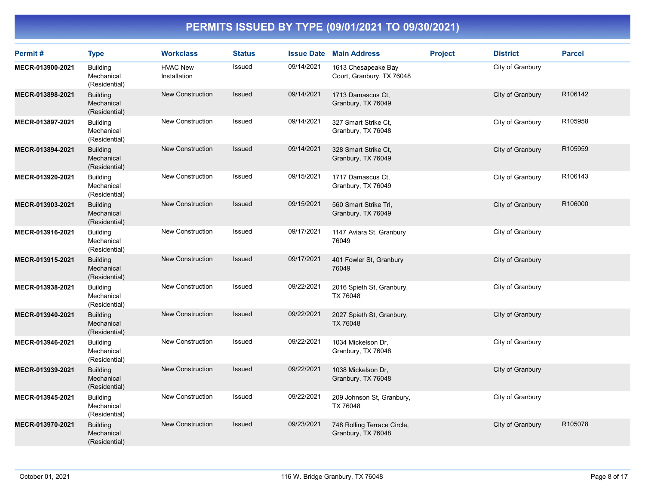| Permit#          | <b>Type</b>                                    | <b>Workclass</b>                | <b>Status</b> |            | <b>Issue Date Main Address</b>                    | <b>Project</b> | <b>District</b>  | <b>Parcel</b> |
|------------------|------------------------------------------------|---------------------------------|---------------|------------|---------------------------------------------------|----------------|------------------|---------------|
| MECR-013900-2021 | <b>Building</b><br>Mechanical<br>(Residential) | <b>HVAC New</b><br>Installation | Issued        | 09/14/2021 | 1613 Chesapeake Bay<br>Court, Granbury, TX 76048  |                | City of Granbury |               |
| MECR-013898-2021 | <b>Building</b><br>Mechanical<br>(Residential) | <b>New Construction</b>         | Issued        | 09/14/2021 | 1713 Damascus Ct,<br>Granbury, TX 76049           |                | City of Granbury | R106142       |
| MECR-013897-2021 | <b>Building</b><br>Mechanical<br>(Residential) | <b>New Construction</b>         | Issued        | 09/14/2021 | 327 Smart Strike Ct,<br>Granbury, TX 76048        |                | City of Granbury | R105958       |
| MECR-013894-2021 | <b>Building</b><br>Mechanical<br>(Residential) | <b>New Construction</b>         | Issued        | 09/14/2021 | 328 Smart Strike Ct,<br>Granbury, TX 76049        |                | City of Granbury | R105959       |
| MECR-013920-2021 | <b>Building</b><br>Mechanical<br>(Residential) | <b>New Construction</b>         | Issued        | 09/15/2021 | 1717 Damascus Ct.<br>Granbury, TX 76049           |                | City of Granbury | R106143       |
| MECR-013903-2021 | <b>Building</b><br>Mechanical<br>(Residential) | <b>New Construction</b>         | Issued        | 09/15/2021 | 560 Smart Strike Trl,<br>Granbury, TX 76049       |                | City of Granbury | R106000       |
| MECR-013916-2021 | <b>Building</b><br>Mechanical<br>(Residential) | New Construction                | Issued        | 09/17/2021 | 1147 Aviara St, Granbury<br>76049                 |                | City of Granbury |               |
| MECR-013915-2021 | <b>Building</b><br>Mechanical<br>(Residential) | <b>New Construction</b>         | Issued        | 09/17/2021 | 401 Fowler St, Granbury<br>76049                  |                | City of Granbury |               |
| MECR-013938-2021 | <b>Building</b><br>Mechanical<br>(Residential) | New Construction                | Issued        | 09/22/2021 | 2016 Spieth St, Granbury,<br>TX 76048             |                | City of Granbury |               |
| MECR-013940-2021 | <b>Building</b><br>Mechanical<br>(Residential) | <b>New Construction</b>         | Issued        | 09/22/2021 | 2027 Spieth St, Granbury,<br>TX 76048             |                | City of Granbury |               |
| MECR-013946-2021 | <b>Building</b><br>Mechanical<br>(Residential) | New Construction                | Issued        | 09/22/2021 | 1034 Mickelson Dr,<br>Granbury, TX 76048          |                | City of Granbury |               |
| MECR-013939-2021 | <b>Building</b><br>Mechanical<br>(Residential) | <b>New Construction</b>         | Issued        | 09/22/2021 | 1038 Mickelson Dr,<br>Granbury, TX 76048          |                | City of Granbury |               |
| MECR-013945-2021 | <b>Building</b><br>Mechanical<br>(Residential) | <b>New Construction</b>         | Issued        | 09/22/2021 | 209 Johnson St, Granbury,<br>TX 76048             |                | City of Granbury |               |
| MECR-013970-2021 | <b>Building</b><br>Mechanical<br>(Residential) | <b>New Construction</b>         | Issued        | 09/23/2021 | 748 Rolling Terrace Circle,<br>Granbury, TX 76048 |                | City of Granbury | R105078       |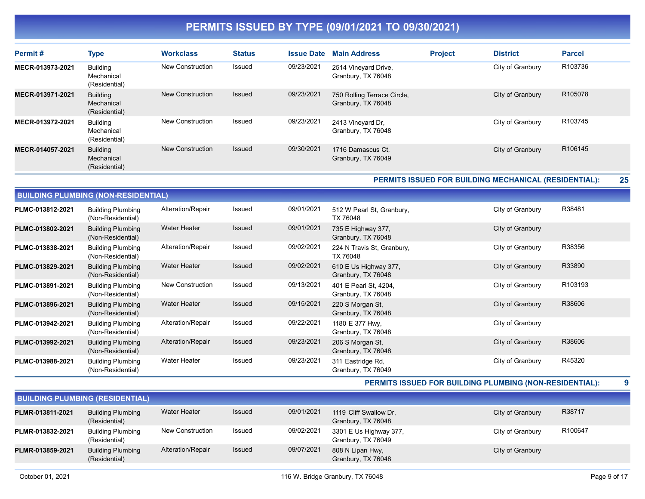| Permit#          | <b>Type</b>                                    | <b>Workclass</b>        | <b>Status</b> | <b>Issue Date</b> | <b>Main Address</b>                               | <b>Project</b> | <b>District</b>  | <b>Parcel</b> |
|------------------|------------------------------------------------|-------------------------|---------------|-------------------|---------------------------------------------------|----------------|------------------|---------------|
| MECR-013973-2021 | <b>Building</b><br>Mechanical<br>(Residential) | <b>New Construction</b> | Issued        | 09/23/2021        | 2514 Vineyard Drive,<br>Granbury, TX 76048        |                | City of Granbury | R103736       |
| MECR-013971-2021 | <b>Building</b><br>Mechanical<br>(Residential) | <b>New Construction</b> | Issued        | 09/23/2021        | 750 Rolling Terrace Circle,<br>Granbury, TX 76048 |                | City of Granbury | R105078       |
| MECR-013972-2021 | <b>Building</b><br>Mechanical<br>(Residential) | New Construction        | Issued        | 09/23/2021        | 2413 Vineyard Dr.<br>Granbury, TX 76048           |                | City of Granbury | R103745       |
| MECR-014057-2021 | <b>Building</b><br>Mechanical<br>(Residential) | <b>New Construction</b> | Issued        | 09/30/2021        | 1716 Damascus Ct.<br>Granbury, TX 76049           |                | City of Granbury | R106145       |

PERMITS ISSUED FOR BUILDING MECHANICAL (RESIDENTIAL): 25

|                  | <b>BUILDING PLUMBING (NON-RESIDENTIAL)</b>    |                     |               |            |                                             |                  |         |
|------------------|-----------------------------------------------|---------------------|---------------|------------|---------------------------------------------|------------------|---------|
| PLMC-013812-2021 | <b>Building Plumbing</b><br>(Non-Residential) | Alteration/Repair   | Issued        | 09/01/2021 | 512 W Pearl St, Granbury,<br>TX 76048       | City of Granbury | R38481  |
| PLMC-013802-2021 | <b>Building Plumbing</b><br>(Non-Residential) | <b>Water Heater</b> | <b>Issued</b> | 09/01/2021 | 735 E Highway 377,<br>Granbury, TX 76048    | City of Granbury |         |
| PLMC-013838-2021 | <b>Building Plumbing</b><br>(Non-Residential) | Alteration/Repair   | Issued        | 09/02/2021 | 224 N Travis St, Granbury,<br>TX 76048      | City of Granbury | R38356  |
| PLMC-013829-2021 | <b>Building Plumbing</b><br>(Non-Residential) | <b>Water Heater</b> | <b>Issued</b> | 09/02/2021 | 610 E Us Highway 377,<br>Granbury, TX 76048 | City of Granbury | R33890  |
| PLMC-013891-2021 | <b>Building Plumbing</b><br>(Non-Residential) | New Construction    | Issued        | 09/13/2021 | 401 E Pearl St, 4204,<br>Granbury, TX 76048 | City of Granbury | R103193 |
| PLMC-013896-2021 | <b>Building Plumbing</b><br>(Non-Residential) | <b>Water Heater</b> | <b>Issued</b> | 09/15/2021 | 220 S Morgan St,<br>Granbury, TX 76048      | City of Granbury | R38606  |
| PLMC-013942-2021 | <b>Building Plumbing</b><br>(Non-Residential) | Alteration/Repair   | Issued        | 09/22/2021 | 1180 E 377 Hwy,<br>Granbury, TX 76048       | City of Granbury |         |
| PLMC-013992-2021 | <b>Building Plumbing</b><br>(Non-Residential) | Alteration/Repair   | <b>Issued</b> | 09/23/2021 | 206 S Morgan St,<br>Granbury, TX 76048      | City of Granbury | R38606  |
| PLMC-013988-2021 | <b>Building Plumbing</b><br>(Non-Residential) | <b>Water Heater</b> | Issued        | 09/23/2021 | 311 Eastridge Rd,<br>Granbury, TX 76049     | City of Granbury | R45320  |

PERMITS ISSUED FOR BUILDING PLUMBING (NON-RESIDENTIAL): 9

| <b>BUILDING PLUMBING (RESIDENTIAL)</b> |                                           |                   |               |            |                                              |                  |         |  |  |  |
|----------------------------------------|-------------------------------------------|-------------------|---------------|------------|----------------------------------------------|------------------|---------|--|--|--|
| PLMR-013811-2021                       | <b>Building Plumbing</b><br>(Residential) | Water Heater      | <b>Issued</b> | 09/01/2021 | 1119 Cliff Swallow Dr.<br>Granbury, TX 76048 | City of Granbury | R38717  |  |  |  |
| PLMR-013832-2021                       | <b>Building Plumbing</b><br>(Residential) | New Construction  | Issued        | 09/02/2021 | 3301 E Us Highway 377,<br>Granbury, TX 76049 | City of Granbury | R100647 |  |  |  |
| PLMR-013859-2021                       | <b>Building Plumbing</b><br>(Residential) | Alteration/Repair | Issued        | 09/07/2021 | 808 N Lipan Hwy,<br>Granbury, TX 76048       | City of Granbury |         |  |  |  |

BUILDING (NON-RESIDE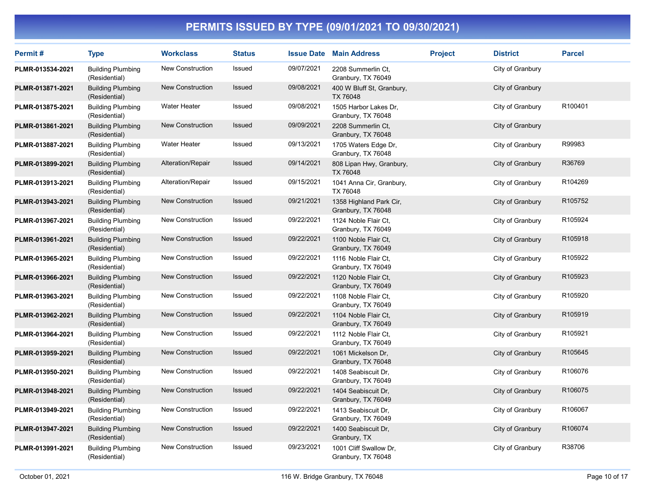| Permit#          | <b>Type</b>                               | <b>Workclass</b>    | <b>Status</b> |            | <b>Issue Date Main Address</b>                | <b>Project</b> | <b>District</b>  | <b>Parcel</b> |
|------------------|-------------------------------------------|---------------------|---------------|------------|-----------------------------------------------|----------------|------------------|---------------|
| PLMR-013534-2021 | <b>Building Plumbing</b><br>(Residential) | New Construction    | <b>Issued</b> | 09/07/2021 | 2208 Summerlin Ct.<br>Granbury, TX 76049      |                | City of Granbury |               |
| PLMR-013871-2021 | <b>Building Plumbing</b><br>(Residential) | New Construction    | Issued        | 09/08/2021 | 400 W Bluff St, Granbury,<br>TX 76048         |                | City of Granbury |               |
| PLMR-013875-2021 | <b>Building Plumbing</b><br>(Residential) | <b>Water Heater</b> | Issued        | 09/08/2021 | 1505 Harbor Lakes Dr.<br>Granbury, TX 76048   |                | City of Granbury | R100401       |
| PLMR-013861-2021 | <b>Building Plumbing</b><br>(Residential) | New Construction    | Issued        | 09/09/2021 | 2208 Summerlin Ct,<br>Granbury, TX 76048      |                | City of Granbury |               |
| PLMR-013887-2021 | <b>Building Plumbing</b><br>(Residential) | <b>Water Heater</b> | Issued        | 09/13/2021 | 1705 Waters Edge Dr,<br>Granbury, TX 76048    |                | City of Granbury | R99983        |
| PLMR-013899-2021 | <b>Building Plumbing</b><br>(Residential) | Alteration/Repair   | Issued        | 09/14/2021 | 808 Lipan Hwy, Granbury,<br>TX 76048          |                | City of Granbury | R36769        |
| PLMR-013913-2021 | <b>Building Plumbing</b><br>(Residential) | Alteration/Repair   | Issued        | 09/15/2021 | 1041 Anna Cir, Granbury,<br>TX 76048          |                | City of Granbury | R104269       |
| PLMR-013943-2021 | <b>Building Plumbing</b><br>(Residential) | New Construction    | Issued        | 09/21/2021 | 1358 Highland Park Cir,<br>Granbury, TX 76048 |                | City of Granbury | R105752       |
| PLMR-013967-2021 | <b>Building Plumbing</b><br>(Residential) | New Construction    | Issued        | 09/22/2021 | 1124 Noble Flair Ct.<br>Granbury, TX 76049    |                | City of Granbury | R105924       |
| PLMR-013961-2021 | <b>Building Plumbing</b><br>(Residential) | New Construction    | <b>Issued</b> | 09/22/2021 | 1100 Noble Flair Ct,<br>Granbury, TX 76049    |                | City of Granbury | R105918       |
| PLMR-013965-2021 | <b>Building Plumbing</b><br>(Residential) | New Construction    | Issued        | 09/22/2021 | 1116 Noble Flair Ct,<br>Granbury, TX 76049    |                | City of Granbury | R105922       |
| PLMR-013966-2021 | <b>Building Plumbing</b><br>(Residential) | New Construction    | Issued        | 09/22/2021 | 1120 Noble Flair Ct.<br>Granbury, TX 76049    |                | City of Granbury | R105923       |
| PLMR-013963-2021 | <b>Building Plumbing</b><br>(Residential) | New Construction    | Issued        | 09/22/2021 | 1108 Noble Flair Ct,<br>Granbury, TX 76049    |                | City of Granbury | R105920       |
| PLMR-013962-2021 | <b>Building Plumbing</b><br>(Residential) | New Construction    | Issued        | 09/22/2021 | 1104 Noble Flair Ct,<br>Granbury, TX 76049    |                | City of Granbury | R105919       |
| PLMR-013964-2021 | <b>Building Plumbing</b><br>(Residential) | New Construction    | Issued        | 09/22/2021 | 1112 Noble Flair Ct.<br>Granbury, TX 76049    |                | City of Granbury | R105921       |
| PLMR-013959-2021 | <b>Building Plumbing</b><br>(Residential) | New Construction    | <b>Issued</b> | 09/22/2021 | 1061 Mickelson Dr,<br>Granbury, TX 76048      |                | City of Granbury | R105645       |
| PLMR-013950-2021 | <b>Building Plumbing</b><br>(Residential) | New Construction    | Issued        | 09/22/2021 | 1408 Seabiscuit Dr.<br>Granbury, TX 76049     |                | City of Granbury | R106076       |
| PLMR-013948-2021 | <b>Building Plumbing</b><br>(Residential) | New Construction    | Issued        | 09/22/2021 | 1404 Seabiscuit Dr.<br>Granbury, TX 76049     |                | City of Granbury | R106075       |
| PLMR-013949-2021 | <b>Building Plumbing</b><br>(Residential) | New Construction    | Issued        | 09/22/2021 | 1413 Seabiscuit Dr.<br>Granbury, TX 76049     |                | City of Granbury | R106067       |
| PLMR-013947-2021 | <b>Building Plumbing</b><br>(Residential) | New Construction    | Issued        | 09/22/2021 | 1400 Seabiscuit Dr,<br>Granbury, TX           |                | City of Granbury | R106074       |
| PLMR-013991-2021 | <b>Building Plumbing</b><br>(Residential) | New Construction    | Issued        | 09/23/2021 | 1001 Cliff Swallow Dr,<br>Granbury, TX 76048  |                | City of Granbury | R38706        |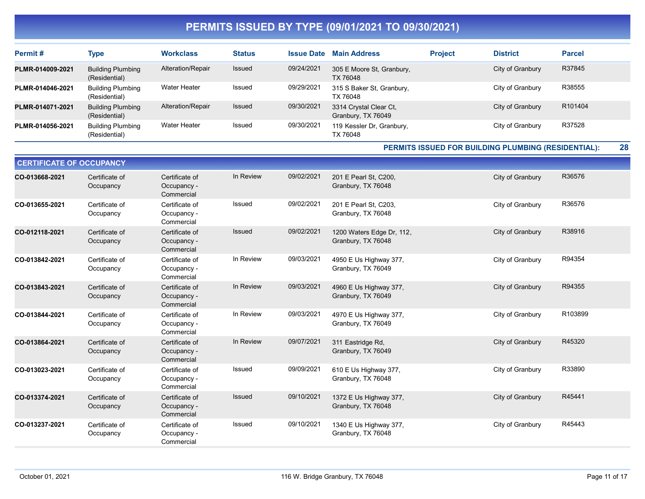| Permit#          | Type                                      | <b>Workclass</b>    | <b>Status</b> | <b>Issue Date</b> | <b>Main Address</b>                          | <b>Project</b> | <b>District</b>  | <b>Parcel</b>       |
|------------------|-------------------------------------------|---------------------|---------------|-------------------|----------------------------------------------|----------------|------------------|---------------------|
| PLMR-014009-2021 | <b>Building Plumbing</b><br>(Residential) | Alteration/Repair   | Issued        | 09/24/2021        | 305 E Moore St, Granbury,<br>TX 76048        |                | City of Granbury | R37845              |
| PLMR-014046-2021 | <b>Building Plumbing</b><br>(Residential) | Water Heater        | Issued        | 09/29/2021        | 315 S Baker St, Granbury,<br>TX 76048        |                | City of Granbury | R38555              |
| PLMR-014071-2021 | <b>Building Plumbing</b><br>(Residential) | Alteration/Repair   | Issued        | 09/30/2021        | 3314 Crystal Clear Ct,<br>Granbury, TX 76049 |                | City of Granbury | R <sub>101404</sub> |
| PLMR-014056-2021 | <b>Building Plumbing</b><br>(Residential) | <b>Water Heater</b> | Issued        | 09/30/2021        | 119 Kessler Dr. Granbury,<br>TX 76048        |                | City of Granbury | R37528              |

PERMITS ISSUED FOR BUILDING PLUMBING (RESIDENTIAL): 28

| <b>CERTIFICATE OF OCCUPANCY</b> |                             |                                             |               |            |                                                 |                  |         |  |  |  |  |
|---------------------------------|-----------------------------|---------------------------------------------|---------------|------------|-------------------------------------------------|------------------|---------|--|--|--|--|
| CO-013668-2021                  | Certificate of<br>Occupancy | Certificate of<br>Occupancy -<br>Commercial | In Review     | 09/02/2021 | 201 E Pearl St, C200,<br>Granbury, TX 76048     | City of Granbury | R36576  |  |  |  |  |
| CO-013655-2021                  | Certificate of<br>Occupancy | Certificate of<br>Occupancy -<br>Commercial | <b>Issued</b> | 09/02/2021 | 201 E Pearl St, C203,<br>Granbury, TX 76048     | City of Granbury | R36576  |  |  |  |  |
| CO-012118-2021                  | Certificate of<br>Occupancy | Certificate of<br>Occupancy -<br>Commercial | Issued        | 09/02/2021 | 1200 Waters Edge Dr, 112,<br>Granbury, TX 76048 | City of Granbury | R38916  |  |  |  |  |
| CO-013842-2021                  | Certificate of<br>Occupancy | Certificate of<br>Occupancy -<br>Commercial | In Review     | 09/03/2021 | 4950 E Us Highway 377,<br>Granbury, TX 76049    | City of Granbury | R94354  |  |  |  |  |
| CO-013843-2021                  | Certificate of<br>Occupancy | Certificate of<br>Occupancy -<br>Commercial | In Review     | 09/03/2021 | 4960 E Us Highway 377,<br>Granbury, TX 76049    | City of Granbury | R94355  |  |  |  |  |
| CO-013844-2021                  | Certificate of<br>Occupancy | Certificate of<br>Occupancy -<br>Commercial | In Review     | 09/03/2021 | 4970 E Us Highway 377,<br>Granbury, TX 76049    | City of Granbury | R103899 |  |  |  |  |
| CO-013864-2021                  | Certificate of<br>Occupancy | Certificate of<br>Occupancy -<br>Commercial | In Review     | 09/07/2021 | 311 Eastridge Rd,<br>Granbury, TX 76049         | City of Granbury | R45320  |  |  |  |  |
| CO-013023-2021                  | Certificate of<br>Occupancy | Certificate of<br>Occupancy -<br>Commercial | Issued        | 09/09/2021 | 610 E Us Highway 377,<br>Granbury, TX 76048     | City of Granbury | R33890  |  |  |  |  |
| CO-013374-2021                  | Certificate of<br>Occupancy | Certificate of<br>Occupancy -<br>Commercial | Issued        | 09/10/2021 | 1372 E Us Highway 377,<br>Granbury, TX 76048    | City of Granbury | R45441  |  |  |  |  |
| CO-013237-2021                  | Certificate of<br>Occupancy | Certificate of<br>Occupancy -<br>Commercial | Issued        | 09/10/2021 | 1340 E Us Highway 377,<br>Granbury, TX 76048    | City of Granbury | R45443  |  |  |  |  |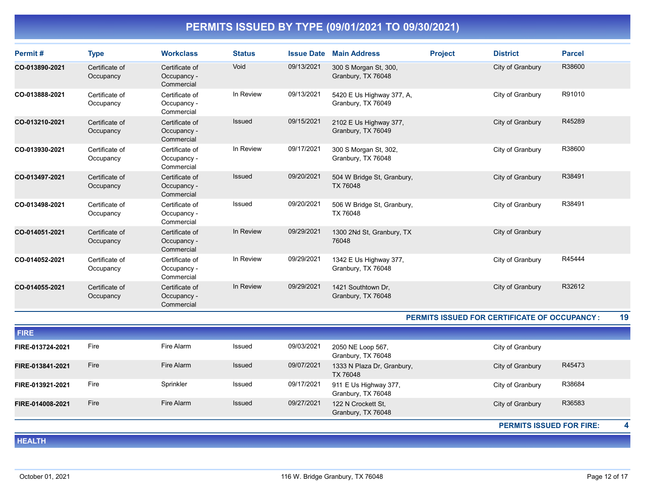| Permit#        | <b>Type</b>                 | <b>Workclass</b>                            | <b>Status</b> | <b>Issue Date</b> | <b>Main Address</b>                             | <b>Project</b> | <b>District</b>  | <b>Parcel</b> |
|----------------|-----------------------------|---------------------------------------------|---------------|-------------------|-------------------------------------------------|----------------|------------------|---------------|
| CO-013890-2021 | Certificate of<br>Occupancy | Certificate of<br>Occupancy -<br>Commercial | Void          | 09/13/2021        | 300 S Morgan St, 300,<br>Granbury, TX 76048     |                | City of Granbury | R38600        |
| CO-013888-2021 | Certificate of<br>Occupancy | Certificate of<br>Occupancy -<br>Commercial | In Review     | 09/13/2021        | 5420 E Us Highway 377, A,<br>Granbury, TX 76049 |                | City of Granbury | R91010        |
| CO-013210-2021 | Certificate of<br>Occupancy | Certificate of<br>Occupancy -<br>Commercial | Issued        | 09/15/2021        | 2102 E Us Highway 377,<br>Granbury, TX 76049    |                | City of Granbury | R45289        |
| CO-013930-2021 | Certificate of<br>Occupancy | Certificate of<br>Occupancy -<br>Commercial | In Review     | 09/17/2021        | 300 S Morgan St, 302,<br>Granbury, TX 76048     |                | City of Granbury | R38600        |
| CO-013497-2021 | Certificate of<br>Occupancy | Certificate of<br>Occupancy -<br>Commercial | Issued        | 09/20/2021        | 504 W Bridge St, Granbury,<br>TX 76048          |                | City of Granbury | R38491        |
| CO-013498-2021 | Certificate of<br>Occupancy | Certificate of<br>Occupancy -<br>Commercial | Issued        | 09/20/2021        | 506 W Bridge St, Granbury,<br>TX 76048          |                | City of Granbury | R38491        |
| CO-014051-2021 | Certificate of<br>Occupancy | Certificate of<br>Occupancy -<br>Commercial | In Review     | 09/29/2021        | 1300 2Nd St, Granbury, TX<br>76048              |                | City of Granbury |               |
| CO-014052-2021 | Certificate of<br>Occupancy | Certificate of<br>Occupancy -<br>Commercial | In Review     | 09/29/2021        | 1342 E Us Highway 377,<br>Granbury, TX 76048    |                | City of Granbury | R45444        |
| CO-014055-2021 | Certificate of<br>Occupancy | Certificate of<br>Occupancy -<br>Commercial | In Review     | 09/29/2021        | 1421 Southtown Dr.<br>Granbury, TX 76048        |                | City of Granbury | R32612        |

#### PERMITS ISSUED FOR CERTIFICATE OF OCCUPANCY : 19

| <b>FIRE</b>      |      |            |               |            |                                             |                                 |   |
|------------------|------|------------|---------------|------------|---------------------------------------------|---------------------------------|---|
| FIRE-013724-2021 | Fire | Fire Alarm | Issued        | 09/03/2021 | 2050 NE Loop 567,<br>Granbury, TX 76048     | City of Granbury                |   |
| FIRE-013841-2021 | Fire | Fire Alarm | <b>Issued</b> | 09/07/2021 | 1333 N Plaza Dr, Granbury,<br>TX 76048      | R45473<br>City of Granbury      |   |
| FIRE-013921-2021 | Fire | Sprinkler  | Issued        | 09/17/2021 | 911 E Us Highway 377,<br>Granbury, TX 76048 | R38684<br>City of Granbury      |   |
| FIRE-014008-2021 | Fire | Fire Alarm | <b>Issued</b> | 09/27/2021 | 122 N Crockett St.<br>Granbury, TX 76048    | R36583<br>City of Granbury      |   |
|                  |      |            |               |            |                                             | <b>PERMITS ISSUED FOR FIRE:</b> | 4 |

HEALTH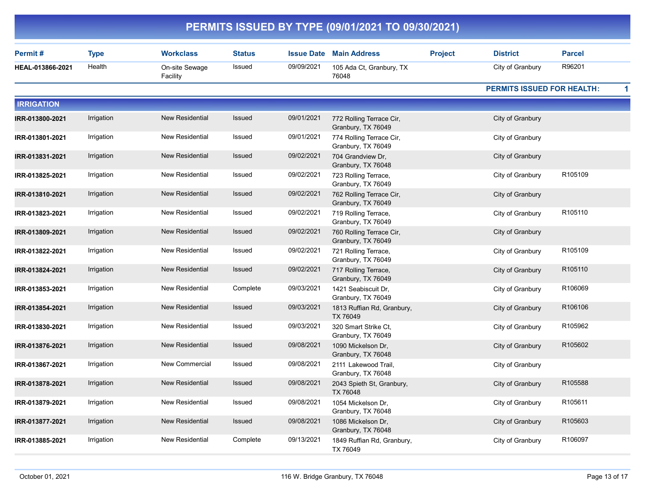|                   |             |                            |               |                   | PERMITS ISSUED BY TYPE (09/01/2021 TO 09/30/2021) |                |                                   |                     |
|-------------------|-------------|----------------------------|---------------|-------------------|---------------------------------------------------|----------------|-----------------------------------|---------------------|
| Permit#           | <b>Type</b> | <b>Workclass</b>           | <b>Status</b> | <b>Issue Date</b> | <b>Main Address</b>                               | <b>Project</b> | <b>District</b>                   | <b>Parcel</b>       |
| HEAL-013866-2021  | Health      | On-site Sewage<br>Facility | Issued        | 09/09/2021        | 105 Ada Ct, Granbury, TX<br>76048                 |                | City of Granbury                  | R96201              |
|                   |             |                            |               |                   |                                                   |                | <b>PERMITS ISSUED FOR HEALTH:</b> | 1                   |
| <b>IRRIGATION</b> |             |                            |               |                   |                                                   |                |                                   |                     |
| IRR-013800-2021   | Irrigation  | <b>New Residential</b>     | Issued        | 09/01/2021        | 772 Rolling Terrace Cir,<br>Granbury, TX 76049    |                | City of Granbury                  |                     |
| IRR-013801-2021   | Irrigation  | New Residential            | Issued        | 09/01/2021        | 774 Rolling Terrace Cir,<br>Granbury, TX 76049    |                | City of Granbury                  |                     |
| IRR-013831-2021   | Irrigation  | <b>New Residential</b>     | Issued        | 09/02/2021        | 704 Grandview Dr,<br>Granbury, TX 76048           |                | City of Granbury                  |                     |
| IRR-013825-2021   | Irrigation  | New Residential            | Issued        | 09/02/2021        | 723 Rolling Terrace,<br>Granbury, TX 76049        |                | City of Granbury                  | R105109             |
| IRR-013810-2021   | Irrigation  | <b>New Residential</b>     | <b>Issued</b> | 09/02/2021        | 762 Rolling Terrace Cir,<br>Granbury, TX 76049    |                | City of Granbury                  |                     |
| IRR-013823-2021   | Irrigation  | New Residential            | Issued        | 09/02/2021        | 719 Rolling Terrace,<br>Granbury, TX 76049        |                | City of Granbury                  | R105110             |
| IRR-013809-2021   | Irrigation  | <b>New Residential</b>     | Issued        | 09/02/2021        | 760 Rolling Terrace Cir,<br>Granbury, TX 76049    |                | City of Granbury                  |                     |
| IRR-013822-2021   | Irrigation  | New Residential            | Issued        | 09/02/2021        | 721 Rolling Terrace,<br>Granbury, TX 76049        |                | City of Granbury                  | R105109             |
| IRR-013824-2021   | Irrigation  | <b>New Residential</b>     | <b>Issued</b> | 09/02/2021        | 717 Rolling Terrace,<br>Granbury, TX 76049        |                | City of Granbury                  | R <sub>105110</sub> |
| IRR-013853-2021   | Irrigation  | New Residential            | Complete      | 09/03/2021        | 1421 Seabiscuit Dr,<br>Granbury, TX 76049         |                | City of Granbury                  | R106069             |
| IRR-013854-2021   | Irrigation  | <b>New Residential</b>     | Issued        | 09/03/2021        | 1813 Ruffian Rd, Granbury,<br>TX 76049            |                | City of Granbury                  | R106106             |
| IRR-013830-2021   | Irrigation  | New Residential            | Issued        | 09/03/2021        | 320 Smart Strike Ct,<br>Granbury, TX 76049        |                | City of Granbury                  | R105962             |
| IRR-013876-2021   | Irrigation  | <b>New Residential</b>     | Issued        | 09/08/2021        | 1090 Mickelson Dr,<br>Granbury, TX 76048          |                | City of Granbury                  | R105602             |
| IRR-013867-2021   | Irrigation  | New Commercial             | Issued        | 09/08/2021        | 2111 Lakewood Trail,<br>Granbury, TX 76048        |                | City of Granbury                  |                     |
| IRR-013878-2021   | Irrigation  | <b>New Residential</b>     | Issued        | 09/08/2021        | 2043 Spieth St, Granbury,<br>TX 76048             |                | City of Granbury                  | R105588             |
| IRR-013879-2021   | Irrigation  | New Residential            | Issued        | 09/08/2021        | 1054 Mickelson Dr,<br>Granbury, TX 76048          |                | City of Granbury                  | R105611             |
| IRR-013877-2021   | Irrigation  | New Residential            | Issued        | 09/08/2021        | 1086 Mickelson Dr,<br>Granbury, TX 76048          |                | City of Granbury                  | R105603             |
| IRR-013885-2021   | Irrigation  | New Residential            | Complete      | 09/13/2021        | 1849 Ruffian Rd, Granbury,<br>TX 76049            |                | City of Granbury                  | R106097             |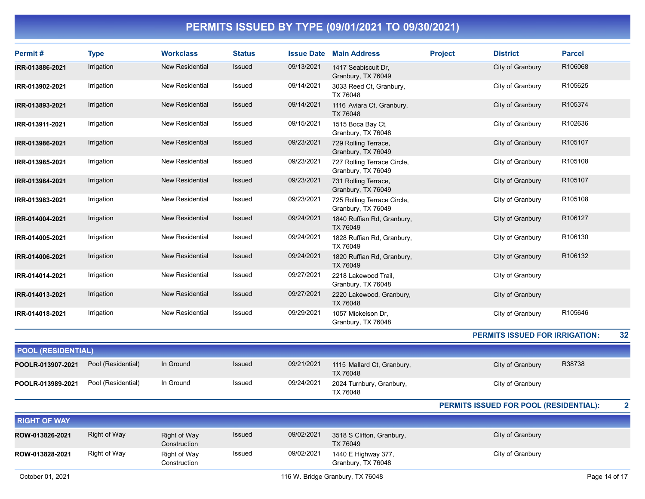| Permit#                   | <b>Type</b>         | <b>Workclass</b>                    | <b>Status</b> | <b>Issue Date</b> | <b>Main Address</b>                               | <b>Project</b> | <b>District</b>                        | <b>Parcel</b> |
|---------------------------|---------------------|-------------------------------------|---------------|-------------------|---------------------------------------------------|----------------|----------------------------------------|---------------|
| IRR-013886-2021           | Irrigation          | <b>New Residential</b>              | Issued        | 09/13/2021        | 1417 Seabiscuit Dr,<br>Granbury, TX 76049         |                | City of Granbury                       | R106068       |
| IRR-013902-2021           | Irrigation          | New Residential                     | Issued        | 09/14/2021        | 3033 Reed Ct, Granbury,<br>TX 76048               |                | City of Granbury                       | R105625       |
| IRR-013893-2021           | Irrigation          | <b>New Residential</b>              | Issued        | 09/14/2021        | 1116 Aviara Ct, Granbury,<br>TX 76048             |                | City of Granbury                       | R105374       |
| IRR-013911-2021           | Irrigation          | New Residential                     | Issued        | 09/15/2021        | 1515 Boca Bay Ct,<br>Granbury, TX 76048           |                | City of Granbury                       | R102636       |
| IRR-013986-2021           | Irrigation          | <b>New Residential</b>              | Issued        | 09/23/2021        | 729 Rolling Terrace,<br>Granbury, TX 76049        |                | City of Granbury                       | R105107       |
| IRR-013985-2021           | Irrigation          | New Residential                     | Issued        | 09/23/2021        | 727 Rolling Terrace Circle,<br>Granbury, TX 76049 |                | City of Granbury                       | R105108       |
| IRR-013984-2021           | Irrigation          | <b>New Residential</b>              | <b>Issued</b> | 09/23/2021        | 731 Rolling Terrace,<br>Granbury, TX 76049        |                | City of Granbury                       | R105107       |
| IRR-013983-2021           | Irrigation          | New Residential                     | Issued        | 09/23/2021        | 725 Rolling Terrace Circle,<br>Granbury, TX 76049 |                | City of Granbury                       | R105108       |
| IRR-014004-2021           | Irrigation          | <b>New Residential</b>              | Issued        | 09/24/2021        | 1840 Ruffian Rd, Granbury,<br>TX 76049            |                | City of Granbury                       | R106127       |
| IRR-014005-2021           | Irrigation          | New Residential                     | Issued        | 09/24/2021        | 1828 Ruffian Rd, Granbury,<br>TX 76049            |                | City of Granbury                       | R106130       |
| IRR-014006-2021           | Irrigation          | <b>New Residential</b>              | Issued        | 09/24/2021        | 1820 Ruffian Rd, Granbury,<br>TX 76049            |                | City of Granbury                       | R106132       |
| IRR-014014-2021           | Irrigation          | New Residential                     | Issued        | 09/27/2021        | 2218 Lakewood Trail,<br>Granbury, TX 76048        |                | City of Granbury                       |               |
| IRR-014013-2021           | Irrigation          | <b>New Residential</b>              | Issued        | 09/27/2021        | 2220 Lakewood, Granbury,<br>TX 76048              |                | City of Granbury                       |               |
| IRR-014018-2021           | Irrigation          | New Residential                     | Issued        | 09/29/2021        | 1057 Mickelson Dr,<br>Granbury, TX 76048          |                | City of Granbury                       | R105646       |
|                           |                     |                                     |               |                   |                                                   |                | <b>PERMITS ISSUED FOR IRRIGATION:</b>  | 32            |
| <b>POOL (RESIDENTIAL)</b> |                     |                                     |               |                   |                                                   |                |                                        |               |
| POOLR-013907-2021         | Pool (Residential)  | In Ground                           | Issued        | 09/21/2021        | 1115 Mallard Ct, Granbury,<br>TX 76048            |                | City of Granbury                       | R38738        |
| POOLR-013989-2021         | Pool (Residential)  | In Ground                           | Issued        | 09/24/2021        | 2024 Turnbury, Granbury,<br>TX 76048              |                | City of Granbury                       |               |
|                           |                     |                                     |               |                   |                                                   |                | PERMITS ISSUED FOR POOL (RESIDENTIAL): | 2             |
| <b>RIGHT OF WAY</b>       |                     |                                     |               |                   |                                                   |                |                                        |               |
| ROW-013826-2021           | <b>Right of Way</b> | <b>Right of Way</b><br>Construction | Issued        | 09/02/2021        | 3518 S Clifton, Granbury,<br>TX 76049             |                | City of Granbury                       |               |
| ROW-013828-2021           | Right of Way        | Right of Way<br>Construction        | Issued        | 09/02/2021        | 1440 E Highway 377,<br>Granbury, TX 76048         |                | City of Granbury                       |               |
| October 01, 2021          |                     |                                     |               |                   | 116 W. Bridge Granbury, TX 76048                  |                |                                        | Page 14 of 17 |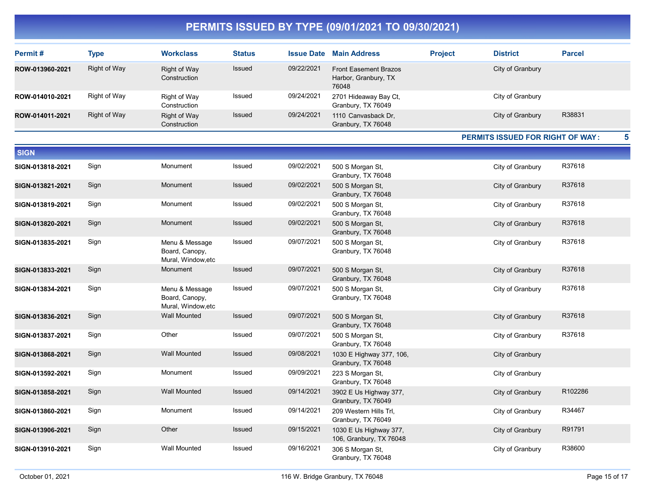| Permit#          | <b>Type</b>         | <b>Workclass</b>                                       | <b>Status</b> |            | <b>Issue Date Main Address</b>                                | <b>Project</b> | <b>District</b>                  | <b>Parcel</b> |
|------------------|---------------------|--------------------------------------------------------|---------------|------------|---------------------------------------------------------------|----------------|----------------------------------|---------------|
| ROW-013960-2021  | <b>Right of Way</b> | <b>Right of Way</b><br>Construction                    | <b>Issued</b> | 09/22/2021 | <b>Front Easement Brazos</b><br>Harbor, Granbury, TX<br>76048 |                | City of Granbury                 |               |
| ROW-014010-2021  | Right of Way        | Right of Way<br>Construction                           | Issued        | 09/24/2021 | 2701 Hideaway Bay Ct,<br>Granbury, TX 76049                   |                | City of Granbury                 |               |
| ROW-014011-2021  | <b>Right of Way</b> | <b>Right of Way</b><br>Construction                    | Issued        | 09/24/2021 | 1110 Canvasback Dr,<br>Granbury, TX 76048                     |                | City of Granbury                 | R38831        |
|                  |                     |                                                        |               |            |                                                               |                | PERMITS ISSUED FOR RIGHT OF WAY: | 5             |
| <b>SIGN</b>      |                     |                                                        |               |            |                                                               |                |                                  |               |
| SIGN-013818-2021 | Sign                | Monument                                               | Issued        | 09/02/2021 | 500 S Morgan St,<br>Granbury, TX 76048                        |                | City of Granbury                 | R37618        |
| SIGN-013821-2021 | Sign                | Monument                                               | Issued        | 09/02/2021 | 500 S Morgan St,<br>Granbury, TX 76048                        |                | City of Granbury                 | R37618        |
| SIGN-013819-2021 | Sign                | Monument                                               | Issued        | 09/02/2021 | 500 S Morgan St,<br>Granbury, TX 76048                        |                | City of Granbury                 | R37618        |
| SIGN-013820-2021 | Sign                | Monument                                               | Issued        | 09/02/2021 | 500 S Morgan St,<br>Granbury, TX 76048                        |                | City of Granbury                 | R37618        |
| SIGN-013835-2021 | Sign                | Menu & Message<br>Board, Canopy,<br>Mural, Window, etc | Issued        | 09/07/2021 | 500 S Morgan St,<br>Granbury, TX 76048                        |                | City of Granbury                 | R37618        |
| SIGN-013833-2021 | Sign                | Monument                                               | Issued        | 09/07/2021 | 500 S Morgan St,<br>Granbury, TX 76048                        |                | City of Granbury                 | R37618        |
| SIGN-013834-2021 | Sign                | Menu & Message<br>Board, Canopy,<br>Mural, Window, etc | Issued        | 09/07/2021 | 500 S Morgan St,<br>Granbury, TX 76048                        |                | City of Granbury                 | R37618        |
| SIGN-013836-2021 | Sign                | <b>Wall Mounted</b>                                    | <b>Issued</b> | 09/07/2021 | 500 S Morgan St,<br>Granbury, TX 76048                        |                | City of Granbury                 | R37618        |
| SIGN-013837-2021 | Sign                | Other                                                  | Issued        | 09/07/2021 | 500 S Morgan St,<br>Granbury, TX 76048                        |                | City of Granbury                 | R37618        |
| SIGN-013868-2021 | Sign                | <b>Wall Mounted</b>                                    | Issued        | 09/08/2021 | 1030 E Highway 377, 106,<br>Granbury, TX 76048                |                | City of Granbury                 |               |
| SIGN-013592-2021 | Sign                | Monument                                               | Issued        | 09/09/2021 | 223 S Morgan St,<br>Granbury, TX 76048                        |                | City of Granbury                 |               |
| SIGN-013858-2021 | Sign                | <b>Wall Mounted</b>                                    | Issued        | 09/14/2021 | 3902 E Us Highway 377,<br>Granbury, TX 76049                  |                | City of Granbury                 | R102286       |
| SIGN-013860-2021 | Sign                | Monument                                               | Issued        | 09/14/2021 | 209 Western Hills Trl,<br>Granbury, TX 76049                  |                | City of Granbury                 | R34467        |
| SIGN-013906-2021 | Sign                | Other                                                  | <b>Issued</b> | 09/15/2021 | 1030 E Us Highway 377,<br>106, Granbury, TX 76048             |                | City of Granbury                 | R91791        |
| SIGN-013910-2021 | Sign                | <b>Wall Mounted</b>                                    | Issued        | 09/16/2021 | 306 S Morgan St,<br>Granbury, TX 76048                        |                | City of Granbury                 | R38600        |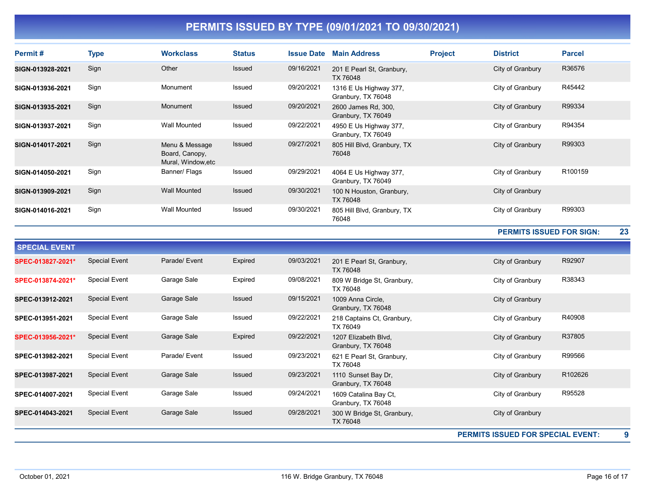| Permit#          | Type | <b>Workclass</b>                                       | <b>Status</b> | <b>Issue Date</b> | <b>Main Address</b>                          | <b>Project</b> | <b>District</b>  | <b>Parcel</b> |
|------------------|------|--------------------------------------------------------|---------------|-------------------|----------------------------------------------|----------------|------------------|---------------|
| SIGN-013928-2021 | Sign | Other                                                  | <b>Issued</b> | 09/16/2021        | 201 E Pearl St, Granbury,<br>TX 76048        |                | City of Granbury | R36576        |
| SIGN-013936-2021 | Sign | Monument                                               | Issued        | 09/20/2021        | 1316 E Us Highway 377,<br>Granbury, TX 76048 |                | City of Granbury | R45442        |
| SIGN-013935-2021 | Sign | Monument                                               | <b>Issued</b> | 09/20/2021        | 2600 James Rd, 300,<br>Granbury, TX 76049    |                | City of Granbury | R99334        |
| SIGN-013937-2021 | Sign | Wall Mounted                                           | Issued        | 09/22/2021        | 4950 E Us Highway 377,<br>Granbury, TX 76049 |                | City of Granbury | R94354        |
| SIGN-014017-2021 | Sign | Menu & Message<br>Board, Canopy,<br>Mural, Window, etc | <b>Issued</b> | 09/27/2021        | 805 Hill Blvd, Granbury, TX<br>76048         |                | City of Granbury | R99303        |
| SIGN-014050-2021 | Sign | Banner/ Flags                                          | Issued        | 09/29/2021        | 4064 E Us Highway 377,<br>Granbury, TX 76049 |                | City of Granbury | R100159       |
| SIGN-013909-2021 | Sign | <b>Wall Mounted</b>                                    | Issued        | 09/30/2021        | 100 N Houston, Granbury,<br>TX 76048         |                | City of Granbury |               |
| SIGN-014016-2021 | Sign | Wall Mounted                                           | Issued        | 09/30/2021        | 805 Hill Blvd, Granbury, TX<br>76048         |                | City of Granbury | R99303        |

PERMITS ISSUED FOR SIGN: 23

| <b>SPECIAL EVENT</b> |                      |               |         |            |                                             |                                          |         |
|----------------------|----------------------|---------------|---------|------------|---------------------------------------------|------------------------------------------|---------|
| SPEC-013827-2021*    | <b>Special Event</b> | Parade/ Event | Expired | 09/03/2021 | 201 E Pearl St, Granbury,<br>TX 76048       | City of Granbury                         | R92907  |
| SPEC-013874-2021*    | Special Event        | Garage Sale   | Expired | 09/08/2021 | 809 W Bridge St, Granbury,<br>TX 76048      | City of Granbury                         | R38343  |
| SPEC-013912-2021     | <b>Special Event</b> | Garage Sale   | Issued  | 09/15/2021 | 1009 Anna Circle.<br>Granbury, TX 76048     | City of Granbury                         |         |
| SPEC-013951-2021     | <b>Special Event</b> | Garage Sale   | Issued  | 09/22/2021 | 218 Captains Ct, Granbury,<br>TX 76049      | City of Granbury                         | R40908  |
| SPEC-013956-2021*    | <b>Special Event</b> | Garage Sale   | Expired | 09/22/2021 | 1207 Elizabeth Blvd,<br>Granbury, TX 76048  | City of Granbury                         | R37805  |
| SPEC-013982-2021     | <b>Special Event</b> | Parade/ Event | Issued  | 09/23/2021 | 621 E Pearl St, Granbury,<br>TX 76048       | City of Granbury                         | R99566  |
| SPEC-013987-2021     | <b>Special Event</b> | Garage Sale   | Issued  | 09/23/2021 | 1110 Sunset Bay Dr.<br>Granbury, TX 76048   | City of Granbury                         | R102626 |
| SPEC-014007-2021     | Special Event        | Garage Sale   | Issued  | 09/24/2021 | 1609 Catalina Bay Ct,<br>Granbury, TX 76048 | City of Granbury                         | R95528  |
| SPEC-014043-2021     | <b>Special Event</b> | Garage Sale   | Issued  | 09/28/2021 | 300 W Bridge St, Granbury,<br>TX 76048      | City of Granbury                         |         |
|                      |                      |               |         |            |                                             | <b>PERMITS ISSUED FOR SPECIAL EVENT:</b> | 9       |